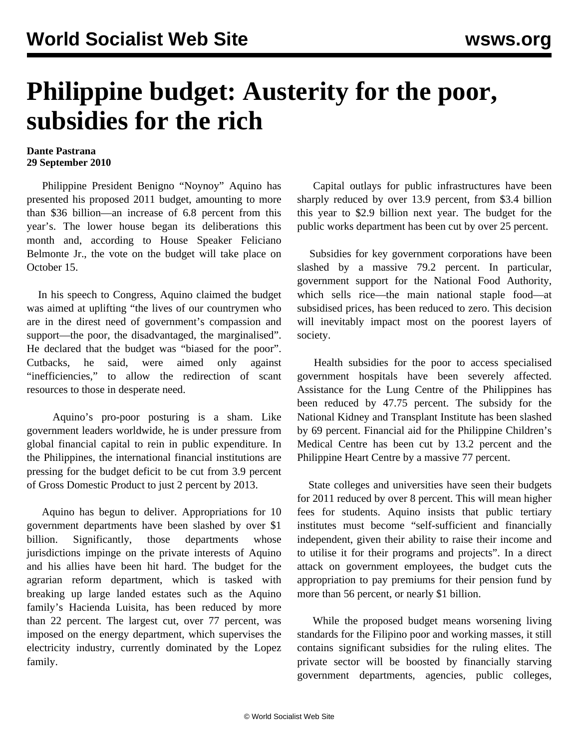## **Philippine budget: Austerity for the poor, subsidies for the rich**

## **Dante Pastrana 29 September 2010**

 Philippine President Benigno "Noynoy" Aquino has presented his proposed 2011 budget, amounting to more than \$36 billion—an increase of 6.8 percent from this year's. The lower house began its deliberations this month and, according to House Speaker Feliciano Belmonte Jr., the vote on the budget will take place on October 15.

 In his speech to Congress, Aquino claimed the budget was aimed at uplifting "the lives of our countrymen who are in the direst need of government's compassion and support—the poor, the disadvantaged, the marginalised". He declared that the budget was "biased for the poor". Cutbacks, he said, were aimed only against "inefficiencies," to allow the redirection of scant resources to those in desperate need.

 Aquino's pro-poor posturing is a sham. Like government leaders worldwide, he is under pressure from global financial capital to rein in public expenditure. In the Philippines, the international financial institutions are pressing for the budget deficit to be cut from 3.9 percent of Gross Domestic Product to just 2 percent by 2013.

 Aquino has begun to deliver. Appropriations for 10 government departments have been slashed by over \$1 billion. Significantly, those departments whose jurisdictions impinge on the private interests of Aquino and his allies have been hit hard. The budget for the agrarian reform department, which is tasked with breaking up large landed estates such as the Aquino family's Hacienda Luisita, has been reduced by more than 22 percent. The largest cut, over 77 percent, was imposed on the energy department, which supervises the electricity industry, currently dominated by the Lopez family.

 Capital outlays for public infrastructures have been sharply reduced by over 13.9 percent, from \$3.4 billion this year to \$2.9 billion next year. The budget for the public works department has been cut by over 25 percent.

 Subsidies for key government corporations have been slashed by a massive 79.2 percent. In particular, government support for the National Food Authority, which sells rice—the main national staple food—at subsidised prices, has been reduced to zero. This decision will inevitably impact most on the poorest layers of society.

 Health subsidies for the poor to access specialised government hospitals have been severely affected. Assistance for the Lung Centre of the Philippines has been reduced by 47.75 percent. The subsidy for the National Kidney and Transplant Institute has been slashed by 69 percent. Financial aid for the Philippine Children's Medical Centre has been cut by 13.2 percent and the Philippine Heart Centre by a massive 77 percent.

 State colleges and universities have seen their budgets for 2011 reduced by over 8 percent. This will mean higher fees for students. Aquino insists that public tertiary institutes must become "self-sufficient and financially independent, given their ability to raise their income and to utilise it for their programs and projects". In a direct attack on government employees, the budget cuts the appropriation to pay premiums for their pension fund by more than 56 percent, or nearly \$1 billion.

 While the proposed budget means worsening living standards for the Filipino poor and working masses, it still contains significant subsidies for the ruling elites. The private sector will be boosted by financially starving government departments, agencies, public colleges,